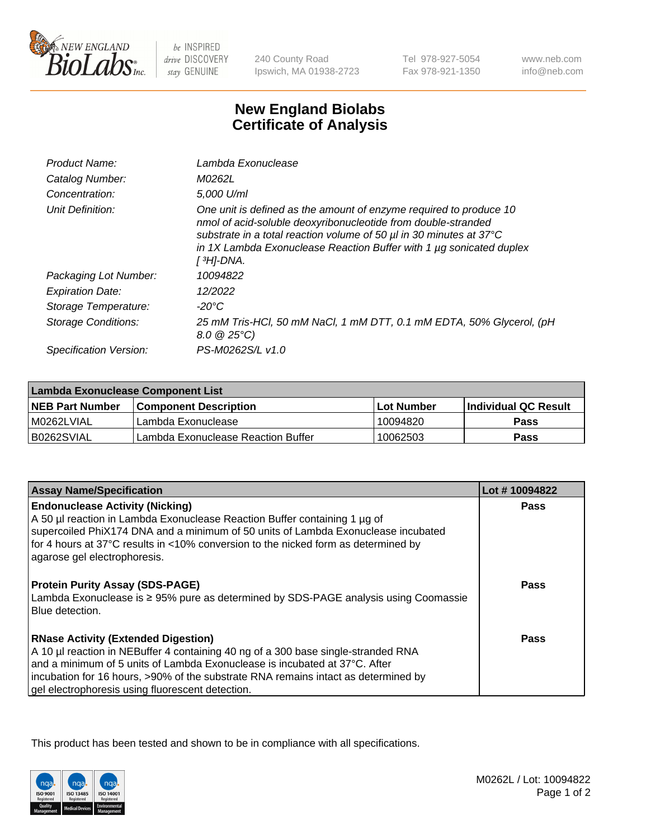

 $be$  INSPIRED drive DISCOVERY stay GENUINE

240 County Road Ipswich, MA 01938-2723

Tel 978-927-5054 Fax 978-921-1350 www.neb.com info@neb.com

## **New England Biolabs Certificate of Analysis**

| Product Name:              | Lambda Exonuclease                                                                                                                                                                                                                                                                                  |  |  |
|----------------------------|-----------------------------------------------------------------------------------------------------------------------------------------------------------------------------------------------------------------------------------------------------------------------------------------------------|--|--|
| Catalog Number:            | M0262L                                                                                                                                                                                                                                                                                              |  |  |
| Concentration:             | 5.000 U/ml                                                                                                                                                                                                                                                                                          |  |  |
| Unit Definition:           | One unit is defined as the amount of enzyme required to produce 10<br>nmol of acid-soluble deoxyribonucleotide from double-stranded<br>substrate in a total reaction volume of 50 µl in 30 minutes at 37°C<br>in 1X Lambda Exonuclease Reaction Buffer with 1 $\mu$ g sonicated duplex<br>[ अ]-DNA. |  |  |
| Packaging Lot Number:      | 10094822                                                                                                                                                                                                                                                                                            |  |  |
| <b>Expiration Date:</b>    | 12/2022                                                                                                                                                                                                                                                                                             |  |  |
| Storage Temperature:       | $-20^{\circ}$ C                                                                                                                                                                                                                                                                                     |  |  |
| <b>Storage Conditions:</b> | 25 mM Tris-HCl, 50 mM NaCl, 1 mM DTT, 0.1 mM EDTA, 50% Glycerol, (pH<br>$8.0 \ @ 25^{\circ}C$                                                                                                                                                                                                       |  |  |
| Specification Version:     | PS-M0262S/L v1.0                                                                                                                                                                                                                                                                                    |  |  |

| Lambda Exonuclease Component List |                                    |             |                             |  |
|-----------------------------------|------------------------------------|-------------|-----------------------------|--|
| <b>NEB Part Number</b>            | l Component Description            | ⊺Lot Number | <b>Individual QC Result</b> |  |
| I M0262LVIAL                      | Lambda Exonuclease                 | 10094820    | <b>Pass</b>                 |  |
| IB0262SVIAL                       | Lambda Exonuclease Reaction Buffer | 10062503    | Pass                        |  |

| Lot #10094822 |
|---------------|
| <b>Pass</b>   |
|               |
|               |
|               |
|               |
|               |
| <b>Pass</b>   |
|               |
|               |
| Pass          |
|               |
|               |
|               |
|               |
|               |

This product has been tested and shown to be in compliance with all specifications.